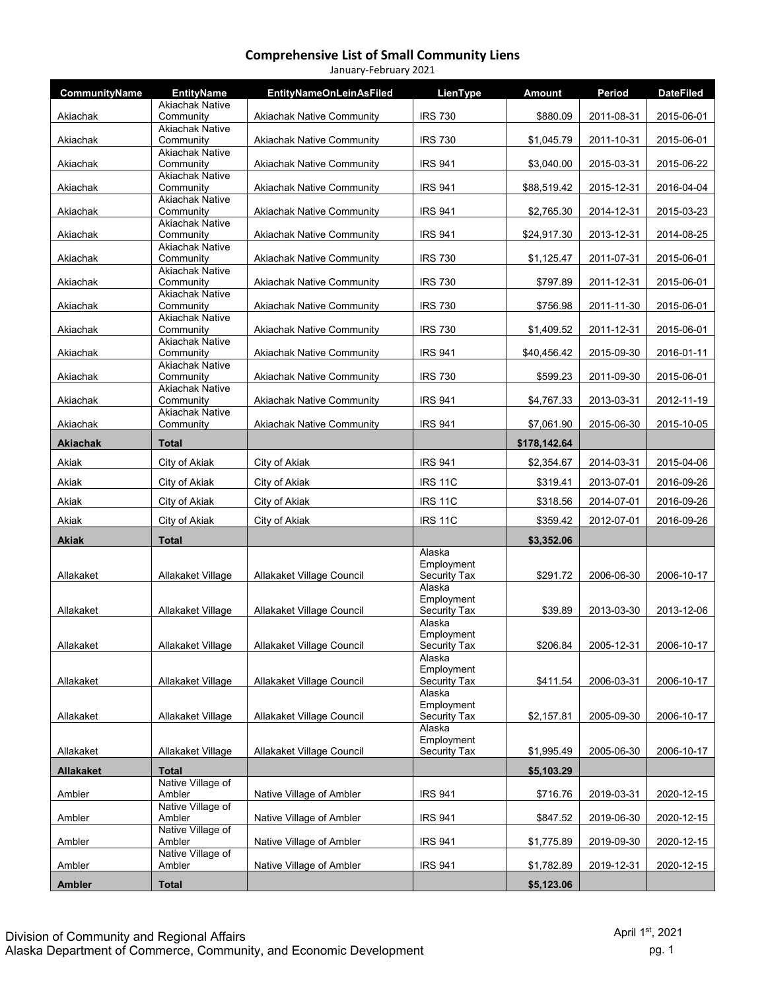| January-February 2021 |                                     |                                  |                                   |               |            |                  |  |  |
|-----------------------|-------------------------------------|----------------------------------|-----------------------------------|---------------|------------|------------------|--|--|
| CommunityName         | <b>EntityName</b>                   | <b>EntityNameOnLeinAsFiled</b>   | LienType                          | <b>Amount</b> | Period     | <b>DateFiled</b> |  |  |
| Akiachak              | <b>Akiachak Native</b><br>Community | <b>Akiachak Native Community</b> | <b>IRS 730</b>                    | \$880.09      | 2011-08-31 | 2015-06-01       |  |  |
| Akiachak              | <b>Akiachak Native</b><br>Community | <b>Akiachak Native Community</b> | <b>IRS 730</b>                    | \$1,045.79    | 2011-10-31 | 2015-06-01       |  |  |
| Akiachak              | <b>Akiachak Native</b><br>Community | <b>Akiachak Native Community</b> | <b>IRS 941</b>                    | \$3,040.00    | 2015-03-31 | 2015-06-22       |  |  |
|                       | <b>Akiachak Native</b>              |                                  |                                   |               |            |                  |  |  |
| Akiachak              | Community<br><b>Akiachak Native</b> | <b>Akiachak Native Community</b> | <b>IRS 941</b>                    | \$88,519.42   | 2015-12-31 | 2016-04-04       |  |  |
| Akiachak              | Community<br><b>Akiachak Native</b> | <b>Akiachak Native Community</b> | <b>IRS 941</b>                    | \$2,765.30    | 2014-12-31 | 2015-03-23       |  |  |
| Akiachak              | Community                           | <b>Akiachak Native Community</b> | <b>IRS 941</b>                    | \$24,917.30   | 2013-12-31 | 2014-08-25       |  |  |
| Akiachak              | <b>Akiachak Native</b><br>Community | <b>Akiachak Native Community</b> | <b>IRS 730</b>                    | \$1,125.47    | 2011-07-31 | 2015-06-01       |  |  |
| Akiachak              | <b>Akiachak Native</b><br>Community | <b>Akiachak Native Community</b> | <b>IRS 730</b>                    | \$797.89      | 2011-12-31 | 2015-06-01       |  |  |
|                       | <b>Akiachak Native</b>              |                                  |                                   |               |            |                  |  |  |
| Akiachak              | Community<br><b>Akiachak Native</b> | <b>Akiachak Native Community</b> | <b>IRS 730</b>                    | \$756.98      | 2011-11-30 | 2015-06-01       |  |  |
| Akiachak              | Community<br><b>Akiachak Native</b> | Akiachak Native Community        | <b>IRS 730</b>                    | \$1,409.52    | 2011-12-31 | 2015-06-01       |  |  |
| Akiachak              | Community                           | <b>Akiachak Native Community</b> | <b>IRS 941</b>                    | \$40,456.42   | 2015-09-30 | 2016-01-11       |  |  |
| Akiachak              | <b>Akiachak Native</b><br>Community | <b>Akiachak Native Community</b> | <b>IRS 730</b>                    | \$599.23      | 2011-09-30 | 2015-06-01       |  |  |
| Akiachak              | <b>Akiachak Native</b><br>Community | <b>Akiachak Native Community</b> | <b>IRS 941</b>                    | \$4,767.33    | 2013-03-31 | 2012-11-19       |  |  |
| Akiachak              | <b>Akiachak Native</b><br>Community | <b>Akiachak Native Community</b> | <b>IRS 941</b>                    | \$7,061.90    | 2015-06-30 | 2015-10-05       |  |  |
| <b>Akiachak</b>       | <b>Total</b>                        |                                  |                                   | \$178,142.64  |            |                  |  |  |
| Akiak                 | City of Akiak                       | City of Akiak                    | <b>IRS 941</b>                    | \$2,354.67    | 2014-03-31 | 2015-04-06       |  |  |
| Akiak                 | City of Akiak                       | City of Akiak                    | <b>IRS 11C</b>                    | \$319.41      | 2013-07-01 | 2016-09-26       |  |  |
| Akiak                 | City of Akiak                       | City of Akiak                    | <b>IRS 11C</b>                    | \$318.56      | 2014-07-01 | 2016-09-26       |  |  |
| Akiak                 | City of Akiak                       | City of Akiak                    | <b>IRS 11C</b>                    | \$359.42      | 2012-07-01 | 2016-09-26       |  |  |
| <b>Akiak</b>          | <b>Total</b>                        |                                  |                                   | \$3,352.06    |            |                  |  |  |
|                       |                                     |                                  | Alaska                            |               |            |                  |  |  |
| Allakaket             | Allakaket Village                   | Allakaket Village Council        | Employment<br>Security Tax        | \$291.72      | 2006-06-30 | 2006-10-17       |  |  |
|                       |                                     |                                  | Alaska<br>Employment              |               |            |                  |  |  |
| Allakaket             | Allakaket Village                   | Allakaket Village Council        | <b>Security Tax</b><br>Alaska     | \$39.89       | 2013-03-30 | 2013-12-06       |  |  |
|                       |                                     |                                  | Employment                        |               |            |                  |  |  |
| Allakaket             | Allakaket Village                   | Allakaket Village Council        | <b>Security Tax</b><br>Alaska     | \$206.84      | 2005-12-31 | 2006-10-17       |  |  |
| Allakaket             | Allakaket Village                   | Allakaket Village Council        | Employment<br><b>Security Tax</b> | \$411.54      | 2006-03-31 | 2006-10-17       |  |  |
|                       |                                     |                                  | Alaska                            |               |            |                  |  |  |
| Allakaket             | Allakaket Village                   | Allakaket Village Council        | Employment<br><b>Security Tax</b> | \$2,157.81    | 2005-09-30 | 2006-10-17       |  |  |
|                       |                                     |                                  | Alaska<br>Employment              |               |            |                  |  |  |
| Allakaket             | Allakaket Village                   | Allakaket Village Council        | <b>Security Tax</b>               | \$1,995.49    | 2005-06-30 | 2006-10-17       |  |  |
| <b>Allakaket</b>      | <b>Total</b>                        |                                  |                                   | \$5,103.29    |            |                  |  |  |
| Ambler                | Native Village of<br>Ambler         | Native Village of Ambler         | <b>IRS 941</b>                    | \$716.76      | 2019-03-31 | 2020-12-15       |  |  |
| Ambler                | Native Village of<br>Ambler         | Native Village of Ambler         | <b>IRS 941</b>                    | \$847.52      | 2019-06-30 | 2020-12-15       |  |  |
| Ambler                | Native Village of<br>Ambler         | Native Village of Ambler         | <b>IRS 941</b>                    | \$1,775.89    | 2019-09-30 | 2020-12-15       |  |  |
|                       | Native Village of                   |                                  |                                   |               |            |                  |  |  |
| Ambler                | Ambler                              | Native Village of Ambler         | <b>IRS 941</b>                    | \$1,782.89    | 2019-12-31 | 2020-12-15       |  |  |
| Ambler                | <b>Total</b>                        |                                  |                                   | \$5,123.06    |            |                  |  |  |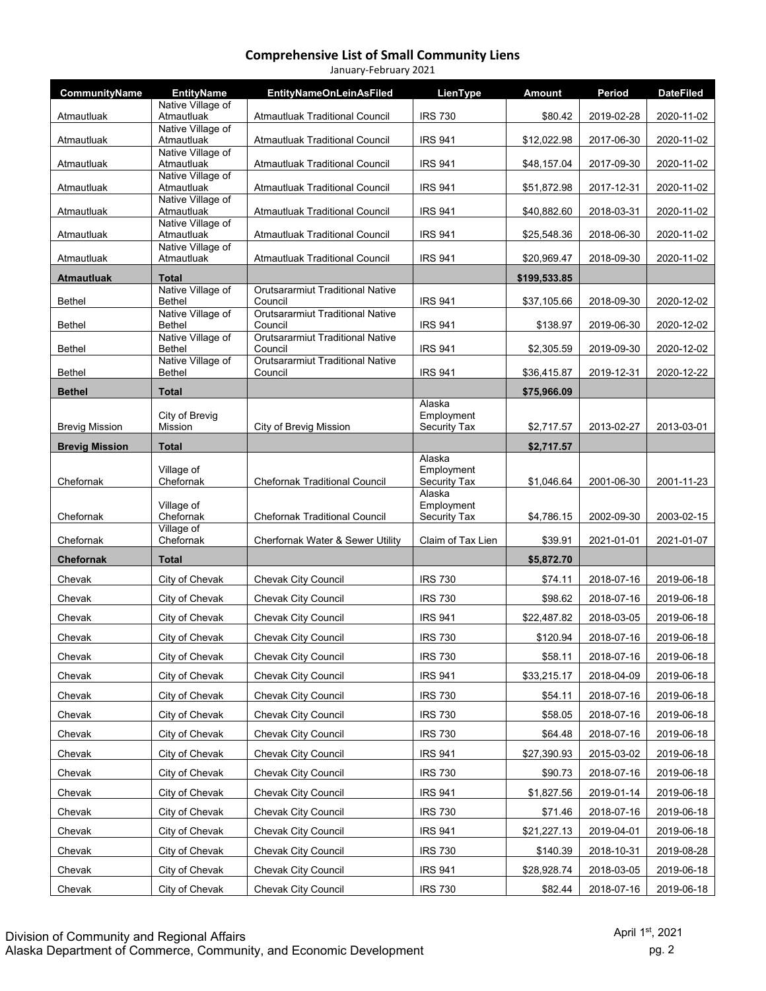| January-February 2021 |                                        |                                                    |                                      |               |            |                  |  |  |
|-----------------------|----------------------------------------|----------------------------------------------------|--------------------------------------|---------------|------------|------------------|--|--|
| CommunityName         | <b>EntityName</b><br>Native Village of | <b>EntityNameOnLeinAsFiled</b>                     | LienType                             | <b>Amount</b> | Period     | <b>DateFiled</b> |  |  |
| Atmautluak            | Atmautluak                             | <b>Atmautluak Traditional Council</b>              | <b>IRS 730</b>                       | \$80.42       | 2019-02-28 | 2020-11-02       |  |  |
| Atmautluak            | Native Village of<br>Atmautluak        | <b>Atmautluak Traditional Council</b>              | <b>IRS 941</b>                       | \$12,022.98   | 2017-06-30 | 2020-11-02       |  |  |
| Atmautluak            | Native Village of<br>Atmautluak        | <b>Atmautluak Traditional Council</b>              | <b>IRS 941</b>                       | \$48,157.04   | 2017-09-30 | 2020-11-02       |  |  |
|                       | Native Village of                      |                                                    |                                      |               |            |                  |  |  |
| Atmautluak            | Atmautluak<br>Native Village of        | <b>Atmautluak Traditional Council</b>              | <b>IRS 941</b>                       | \$51,872.98   | 2017-12-31 | 2020-11-02       |  |  |
| Atmautluak            | Atmautluak<br>Native Village of        | Atmautluak Traditional Council                     | <b>IRS 941</b>                       | \$40,882.60   | 2018-03-31 | 2020-11-02       |  |  |
| Atmautluak            | Atmautluak                             | <b>Atmautluak Traditional Council</b>              | <b>IRS 941</b>                       | \$25,548.36   | 2018-06-30 | 2020-11-02       |  |  |
| Atmautluak            | Native Village of<br>Atmautluak        | <b>Atmautluak Traditional Council</b>              | <b>IRS 941</b>                       | \$20,969.47   | 2018-09-30 | 2020-11-02       |  |  |
| <b>Atmautluak</b>     | <b>Total</b>                           |                                                    |                                      | \$199,533.85  |            |                  |  |  |
| <b>Bethel</b>         | Native Village of<br><b>Bethel</b>     | <b>Orutsararmiut Traditional Native</b><br>Council | <b>IRS 941</b>                       | \$37,105.66   | 2018-09-30 | 2020-12-02       |  |  |
| <b>Bethel</b>         | Native Village of<br><b>Bethel</b>     | <b>Orutsararmiut Traditional Native</b><br>Council | <b>IRS 941</b>                       | \$138.97      | 2019-06-30 | 2020-12-02       |  |  |
| <b>Bethel</b>         | Native Village of<br><b>Bethel</b>     | <b>Orutsararmiut Traditional Native</b><br>Council | <b>IRS 941</b>                       | \$2,305.59    | 2019-09-30 | 2020-12-02       |  |  |
| <b>Bethel</b>         | Native Village of<br><b>Bethel</b>     | <b>Orutsararmiut Traditional Native</b><br>Council | <b>IRS 941</b>                       | \$36,415.87   | 2019-12-31 | 2020-12-22       |  |  |
|                       |                                        |                                                    |                                      |               |            |                  |  |  |
| <b>Bethel</b>         | <b>Total</b>                           |                                                    | Alaska                               | \$75,966.09   |            |                  |  |  |
| <b>Brevig Mission</b> | City of Brevig<br>Mission              | City of Brevig Mission                             | Employment<br>Security Tax           | \$2,717.57    | 2013-02-27 | 2013-03-01       |  |  |
| <b>Brevig Mission</b> | <b>Total</b>                           |                                                    |                                      | \$2,717.57    |            |                  |  |  |
| Chefornak             | Village of<br>Chefornak                | <b>Chefornak Traditional Council</b>               | Alaska<br>Employment<br>Security Tax | \$1,046.64    | 2001-06-30 | 2001-11-23       |  |  |
| Chefornak             | Village of<br>Chefornak                | <b>Chefornak Traditional Council</b>               | Alaska<br>Employment<br>Security Tax | \$4,786.15    | 2002-09-30 | 2003-02-15       |  |  |
| Chefornak             | Village of<br>Chefornak                | Cherfornak Water & Sewer Utility                   | Claim of Tax Lien                    | \$39.91       | 2021-01-01 | 2021-01-07       |  |  |
| <b>Chefornak</b>      | <b>Total</b>                           |                                                    |                                      | \$5,872.70    |            |                  |  |  |
| Chevak                | City of Chevak                         | Chevak City Council                                | <b>IRS 730</b>                       | \$74.11       | 2018-07-16 | 2019-06-18       |  |  |
| Chevak                | City of Chevak                         | Chevak City Council                                | <b>IRS 730</b>                       | \$98.62       | 2018-07-16 | 2019-06-18       |  |  |
| Chevak                | City of Chevak                         | Chevak City Council                                | <b>IRS 941</b>                       | \$22,487.82   | 2018-03-05 | 2019-06-18       |  |  |
| Chevak                | City of Chevak                         | Chevak City Council                                | <b>IRS 730</b>                       | \$120.94      | 2018-07-16 | 2019-06-18       |  |  |
| Chevak                | City of Chevak                         | Chevak City Council                                | <b>IRS 730</b>                       | \$58.11       | 2018-07-16 | 2019-06-18       |  |  |
| Chevak                | City of Chevak                         | <b>Chevak City Council</b>                         | <b>IRS 941</b>                       | \$33,215.17   | 2018-04-09 | 2019-06-18       |  |  |
| Chevak                | City of Chevak                         | <b>Chevak City Council</b>                         | <b>IRS 730</b>                       | \$54.11       | 2018-07-16 | 2019-06-18       |  |  |
| Chevak                | City of Chevak                         | <b>Chevak City Council</b>                         | <b>IRS 730</b>                       | \$58.05       | 2018-07-16 | 2019-06-18       |  |  |
| Chevak                | City of Chevak                         | Chevak City Council                                | <b>IRS 730</b>                       | \$64.48       | 2018-07-16 | 2019-06-18       |  |  |
| Chevak                | City of Chevak                         | Chevak City Council                                | <b>IRS 941</b>                       | \$27,390.93   | 2015-03-02 | 2019-06-18       |  |  |
| Chevak                | City of Chevak                         | Chevak City Council                                | <b>IRS 730</b>                       | \$90.73       | 2018-07-16 | 2019-06-18       |  |  |
| Chevak                | City of Chevak                         | <b>Chevak City Council</b>                         | <b>IRS 941</b>                       | \$1,827.56    | 2019-01-14 | 2019-06-18       |  |  |
| Chevak                | City of Chevak                         | Chevak City Council                                | <b>IRS 730</b>                       | \$71.46       | 2018-07-16 | 2019-06-18       |  |  |
| Chevak                | City of Chevak                         | Chevak City Council                                | <b>IRS 941</b>                       | \$21,227.13   | 2019-04-01 | 2019-06-18       |  |  |
| Chevak                | City of Chevak                         | <b>Chevak City Council</b>                         | <b>IRS 730</b>                       | \$140.39      | 2018-10-31 | 2019-08-28       |  |  |
| Chevak                | City of Chevak                         | Chevak City Council                                | <b>IRS 941</b>                       | \$28,928.74   | 2018-03-05 | 2019-06-18       |  |  |
| Chevak                | City of Chevak                         | Chevak City Council                                | <b>IRS 730</b>                       | \$82.44       | 2018-07-16 | 2019-06-18       |  |  |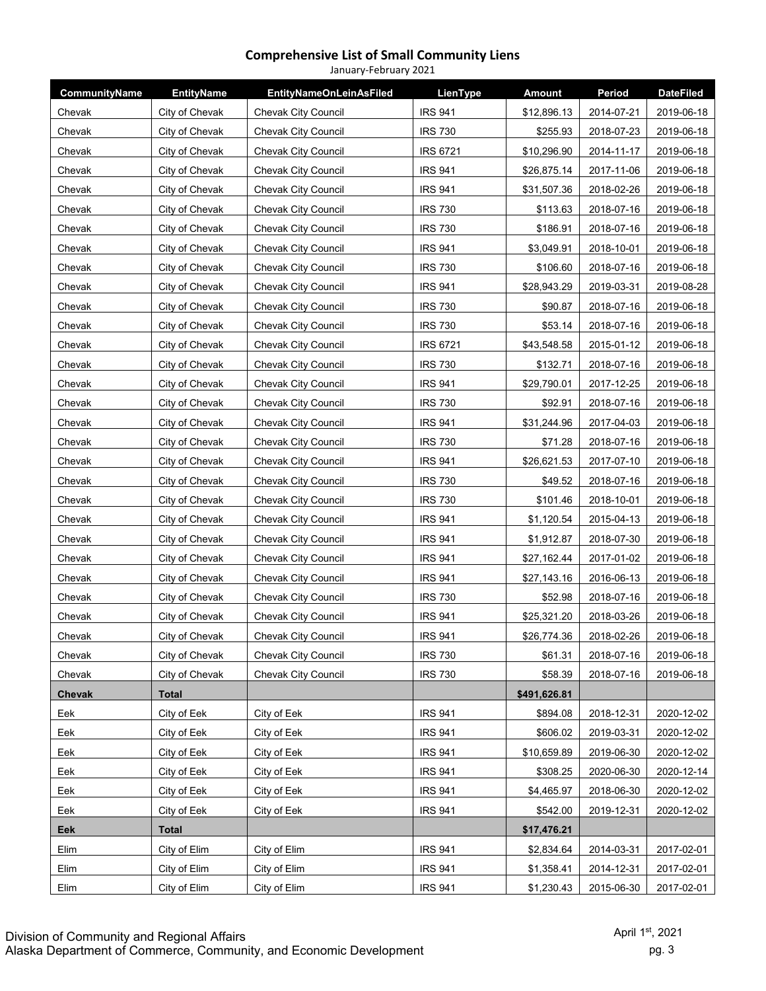#### **Comprehensive List of Small Community Liens** January‐February 2021

| CommunityName | <b>EntityName</b> | <b>EntityNameOnLeinAsFiled</b> | LienType        | <b>Amount</b> | Period     | <b>DateFiled</b> |
|---------------|-------------------|--------------------------------|-----------------|---------------|------------|------------------|
| Chevak        | City of Chevak    | <b>Chevak City Council</b>     | <b>IRS 941</b>  | \$12,896.13   | 2014-07-21 | 2019-06-18       |
| Chevak        | City of Chevak    | <b>Chevak City Council</b>     | <b>IRS 730</b>  | \$255.93      | 2018-07-23 | 2019-06-18       |
| Chevak        | City of Chevak    | <b>Chevak City Council</b>     | <b>IRS 6721</b> | \$10,296.90   | 2014-11-17 | 2019-06-18       |
| Chevak        | City of Chevak    | <b>Chevak City Council</b>     | <b>IRS 941</b>  | \$26,875.14   | 2017-11-06 | 2019-06-18       |
| Chevak        | City of Chevak    | Chevak City Council            | <b>IRS 941</b>  | \$31,507.36   | 2018-02-26 | 2019-06-18       |
| Chevak        | City of Chevak    | <b>Chevak City Council</b>     | <b>IRS 730</b>  | \$113.63      | 2018-07-16 | 2019-06-18       |
| Chevak        | City of Chevak    | Chevak City Council            | <b>IRS 730</b>  | \$186.91      | 2018-07-16 | 2019-06-18       |
| Chevak        | City of Chevak    | Chevak City Council            | <b>IRS 941</b>  | \$3,049.91    | 2018-10-01 | 2019-06-18       |
| Chevak        | City of Chevak    | <b>Chevak City Council</b>     | <b>IRS 730</b>  | \$106.60      | 2018-07-16 | 2019-06-18       |
| Chevak        | City of Chevak    | <b>Chevak City Council</b>     | <b>IRS 941</b>  | \$28,943.29   | 2019-03-31 | 2019-08-28       |
| Chevak        | City of Chevak    | <b>Chevak City Council</b>     | <b>IRS 730</b>  | \$90.87       | 2018-07-16 | 2019-06-18       |
| Chevak        | City of Chevak    | <b>Chevak City Council</b>     | <b>IRS 730</b>  | \$53.14       | 2018-07-16 | 2019-06-18       |
| Chevak        | City of Chevak    | <b>Chevak City Council</b>     | <b>IRS 6721</b> | \$43,548.58   | 2015-01-12 | 2019-06-18       |
| Chevak        | City of Chevak    | Chevak City Council            | <b>IRS 730</b>  | \$132.71      | 2018-07-16 | 2019-06-18       |
| Chevak        | City of Chevak    | <b>Chevak City Council</b>     | <b>IRS 941</b>  | \$29,790.01   | 2017-12-25 | 2019-06-18       |
| Chevak        | City of Chevak    | <b>Chevak City Council</b>     | <b>IRS 730</b>  | \$92.91       | 2018-07-16 | 2019-06-18       |
| Chevak        | City of Chevak    | Chevak City Council            | <b>IRS 941</b>  | \$31,244.96   | 2017-04-03 | 2019-06-18       |
| Chevak        | City of Chevak    | <b>Chevak City Council</b>     | <b>IRS 730</b>  | \$71.28       | 2018-07-16 | 2019-06-18       |
| Chevak        | City of Chevak    | <b>Chevak City Council</b>     | <b>IRS 941</b>  | \$26,621.53   | 2017-07-10 | 2019-06-18       |
| Chevak        | City of Chevak    | <b>Chevak City Council</b>     | <b>IRS 730</b>  | \$49.52       | 2018-07-16 | 2019-06-18       |
| Chevak        | City of Chevak    | <b>Chevak City Council</b>     | <b>IRS 730</b>  | \$101.46      | 2018-10-01 | 2019-06-18       |
| Chevak        | City of Chevak    | <b>Chevak City Council</b>     | <b>IRS 941</b>  | \$1,120.54    | 2015-04-13 | 2019-06-18       |
| Chevak        | City of Chevak    | <b>Chevak City Council</b>     | <b>IRS 941</b>  | \$1,912.87    | 2018-07-30 | 2019-06-18       |
| Chevak        | City of Chevak    | Chevak City Council            | <b>IRS 941</b>  | \$27,162.44   | 2017-01-02 | 2019-06-18       |
| Chevak        | City of Chevak    | <b>Chevak City Council</b>     | <b>IRS 941</b>  | \$27,143.16   | 2016-06-13 | 2019-06-18       |
| Chevak        | City of Chevak    | Chevak City Council            | <b>IRS 730</b>  | \$52.98       | 2018-07-16 | 2019-06-18       |
| Chevak        | City of Chevak    | Chevak City Council            | <b>IRS 941</b>  | \$25,321.20   | 2018-03-26 | 2019-06-18       |
| Chevak        | City of Chevak    | Chevak City Council            | <b>IRS 941</b>  | \$26.774.36   | 2018-02-26 | 2019-06-18       |
| Chevak        | City of Chevak    | <b>Chevak City Council</b>     | <b>IRS 730</b>  | \$61.31       | 2018-07-16 | 2019-06-18       |
| Chevak        | City of Chevak    | <b>Chevak City Council</b>     | <b>IRS 730</b>  | \$58.39       | 2018-07-16 | 2019-06-18       |
| Chevak        | <b>Total</b>      |                                |                 | \$491,626.81  |            |                  |
| Eek           | City of Eek       | City of Eek                    | <b>IRS 941</b>  | \$894.08      | 2018-12-31 | 2020-12-02       |
| Eek           | City of Eek       | City of Eek                    | <b>IRS 941</b>  | \$606.02      | 2019-03-31 | 2020-12-02       |
| Eek           | City of Eek       | City of Eek                    | <b>IRS 941</b>  | \$10,659.89   | 2019-06-30 | 2020-12-02       |
| Eek           | City of Eek       | City of Eek                    | <b>IRS 941</b>  | \$308.25      | 2020-06-30 | 2020-12-14       |
| Eek           | City of Eek       | City of Eek                    | <b>IRS 941</b>  | \$4,465.97    | 2018-06-30 | 2020-12-02       |
| Eek           | City of Eek       | City of Eek                    | <b>IRS 941</b>  | \$542.00      | 2019-12-31 | 2020-12-02       |
| Eek           | <b>Total</b>      |                                |                 | \$17,476.21   |            |                  |
| Elim          | City of Elim      | City of Elim                   | <b>IRS 941</b>  | \$2,834.64    | 2014-03-31 | 2017-02-01       |
| Elim          | City of Elim      | City of Elim                   | <b>IRS 941</b>  | \$1,358.41    | 2014-12-31 | 2017-02-01       |
| Elim          | City of Elim      | City of Elim                   | <b>IRS 941</b>  | \$1,230.43    | 2015-06-30 | 2017-02-01       |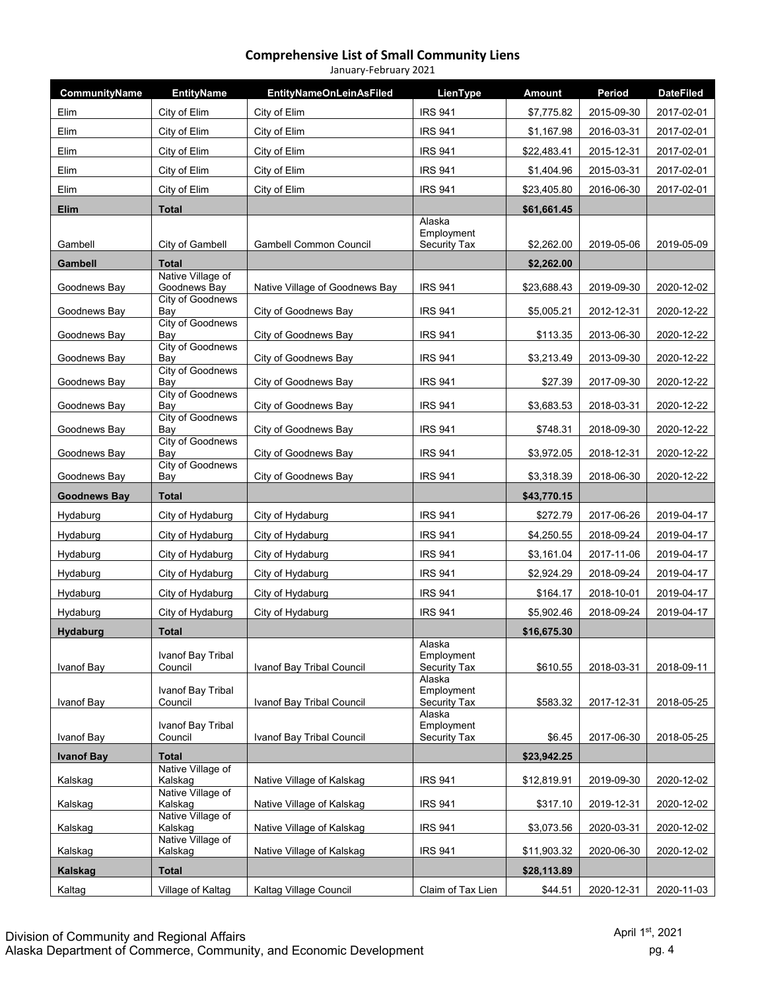#### **Comprehensive List of Small Community Liens** January‐February 2021

|                           | <b>EntityName</b>                 | <b>EntityNameOnLeinAsFiled</b> | LienType                             | <b>Amount</b>              | Period     | <b>DateFiled</b> |
|---------------------------|-----------------------------------|--------------------------------|--------------------------------------|----------------------------|------------|------------------|
| Elim                      | City of Elim                      | City of Elim                   | <b>IRS 941</b>                       | \$7,775.82                 | 2015-09-30 | 2017-02-01       |
| Elim                      | City of Elim                      | City of Elim                   | <b>IRS 941</b>                       | \$1,167.98                 | 2016-03-31 | 2017-02-01       |
| Elim                      | City of Elim                      | City of Elim                   | <b>IRS 941</b>                       | \$22,483.41                | 2015-12-31 | 2017-02-01       |
| Elim                      | City of Elim                      | City of Elim                   | <b>IRS 941</b>                       | \$1,404.96                 | 2015-03-31 | 2017-02-01       |
| Elim                      | City of Elim                      | City of Elim                   | <b>IRS 941</b>                       | \$23,405.80                | 2016-06-30 | 2017-02-01       |
| <b>Elim</b>               | <b>Total</b>                      |                                |                                      | \$61,661.45                |            |                  |
| Gambell                   | City of Gambell                   | <b>Gambell Common Council</b>  | Alaska<br>Employment<br>Security Tax | \$2,262.00                 | 2019-05-06 | 2019-05-09       |
| <b>Gambell</b>            | <b>Total</b>                      |                                |                                      | \$2,262.00                 |            |                  |
| Goodnews Bay              | Native Village of<br>Goodnews Bay | Native Village of Goodnews Bay | <b>IRS 941</b>                       | \$23,688.43                | 2019-09-30 | 2020-12-02       |
| Goodnews Bay              | <b>City of Goodnews</b><br>Bay    | City of Goodnews Bay           | <b>IRS 941</b>                       | \$5,005.21                 | 2012-12-31 | 2020-12-22       |
| Goodnews Bay              | City of Goodnews<br>Bay           | City of Goodnews Bay           | <b>IRS 941</b>                       | \$113.35                   | 2013-06-30 | 2020-12-22       |
|                           | <b>City of Goodnews</b><br>Bay    | City of Goodnews Bay           | <b>IRS 941</b>                       |                            |            | 2020-12-22       |
| Goodnews Bay              | <b>City of Goodnews</b>           |                                |                                      | \$3,213.49                 | 2013-09-30 |                  |
| Goodnews Bay              | Bay<br><b>City of Goodnews</b>    | City of Goodnews Bay           | <b>IRS 941</b>                       | \$27.39                    | 2017-09-30 | 2020-12-22       |
| Goodnews Bay              | Bay<br>City of Goodnews           | City of Goodnews Bay           | <b>IRS 941</b>                       | \$3,683.53                 | 2018-03-31 | 2020-12-22       |
| Goodnews Bay              | Bay                               | City of Goodnews Bay           | <b>IRS 941</b>                       | \$748.31                   | 2018-09-30 | 2020-12-22       |
| Goodnews Bay              | <b>City of Goodnews</b><br>Bay    | City of Goodnews Bay           | <b>IRS 941</b>                       | \$3,972.05                 | 2018-12-31 | 2020-12-22       |
| Goodnews Bay              | <b>City of Goodnews</b><br>Bay    | City of Goodnews Bay           | <b>IRS 941</b>                       | \$3,318.39                 | 2018-06-30 | 2020-12-22       |
|                           | <b>Total</b>                      |                                |                                      | \$43,770.15                |            |                  |
| <b>Goodnews Bay</b>       |                                   |                                |                                      |                            |            |                  |
| Hydaburg                  | City of Hydaburg                  | City of Hydaburg               | <b>IRS 941</b>                       | \$272.79                   | 2017-06-26 | 2019-04-17       |
| Hydaburg                  | City of Hydaburg                  | City of Hydaburg               | <b>IRS 941</b>                       | \$4,250.55                 | 2018-09-24 | 2019-04-17       |
| Hydaburg                  | City of Hydaburg                  | City of Hydaburg               | <b>IRS 941</b>                       | \$3,161.04                 | 2017-11-06 | 2019-04-17       |
| Hydaburg                  | City of Hydaburg                  | City of Hydaburg               | <b>IRS 941</b>                       | \$2,924.29                 | 2018-09-24 | 2019-04-17       |
| Hydaburg                  | City of Hydaburg                  | City of Hydaburg               | <b>IRS 941</b>                       | \$164.17                   | 2018-10-01 | 2019-04-17       |
| Hydaburg                  | City of Hydaburg                  | City of Hydaburg               | <b>IRS 941</b>                       | \$5,902.46                 | 2018-09-24 | 2019-04-17       |
| <b>Hydaburg</b>           | <b>Total</b>                      |                                |                                      | \$16,675.30                |            |                  |
|                           | Ivanof Bay Tribal                 |                                | Alaska<br>Employment                 |                            |            |                  |
| Ivanof Bay                | Council                           | Ivanof Bay Tribal Council      | Security Tax<br>Alaska               | \$610.55                   | 2018-03-31 | 2018-09-11       |
|                           | Ivanof Bay Tribal                 |                                | Employment                           |                            |            |                  |
| Ivanof Bay                | Council                           | Ivanof Bay Tribal Council      | <b>Security Tax</b><br>Alaska        | \$583.32                   | 2017-12-31 | 2018-05-25       |
| Ivanof Bay                | Ivanof Bay Tribal<br>Council      | Ivanof Bay Tribal Council      | Employment<br><b>Security Tax</b>    | \$6.45                     | 2017-06-30 | 2018-05-25       |
| <b>Ivanof Bay</b>         | <b>Total</b>                      |                                |                                      | \$23,942.25                |            |                  |
| Kalskag                   | Native Village of<br>Kalskag      | Native Village of Kalskag      | <b>IRS 941</b>                       | \$12,819.91                | 2019-09-30 | 2020-12-02       |
|                           | Native Village of                 |                                |                                      |                            |            |                  |
| Kalskag                   | Kalskag<br>Native Village of      | Native Village of Kalskag      | <b>IRS 941</b>                       | \$317.10                   | 2019-12-31 | 2020-12-02       |
| Kalskag                   | Kalskag<br>Native Village of      | Native Village of Kalskag      | <b>IRS 941</b>                       | \$3,073.56                 | 2020-03-31 | 2020-12-02       |
| Kalskag<br><b>Kalskag</b> | Kalskag<br><b>Total</b>           | Native Village of Kalskag      | <b>IRS 941</b>                       | \$11,903.32<br>\$28,113.89 | 2020-06-30 | 2020-12-02       |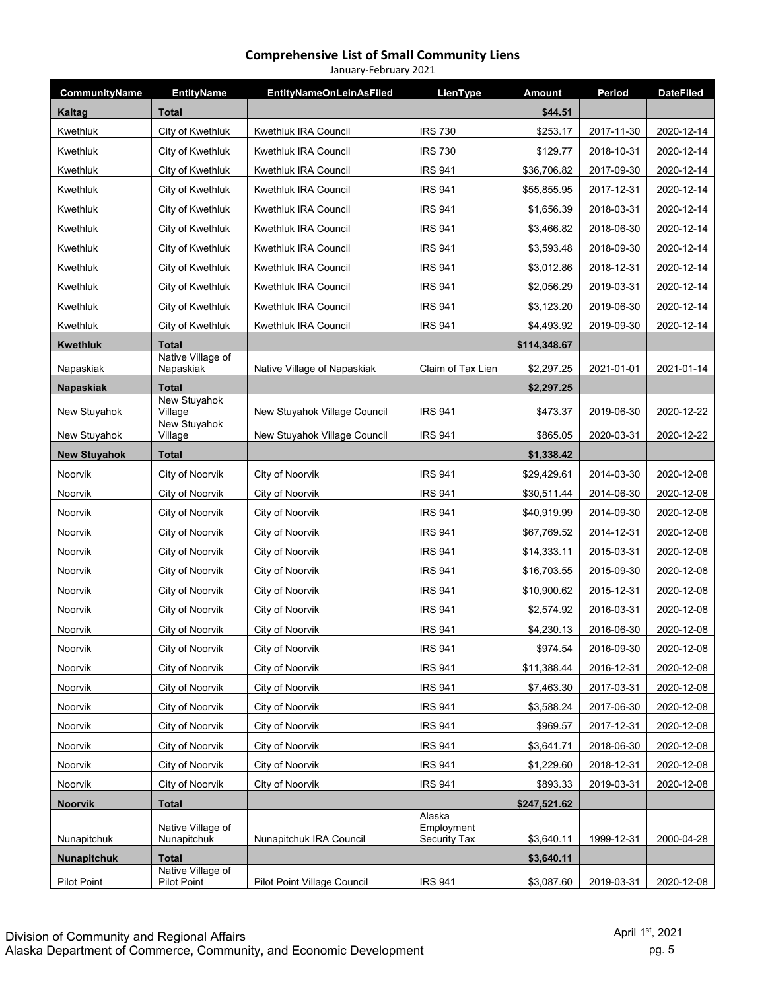#### **Comprehensive List of Small Community Liens** January‐February 2021

| CommunityName       | <b>EntityName</b>                       | <b>EntityNameOnLeinAsFiled</b> | LienType                                    | Amount       | Period     | <b>DateFiled</b> |
|---------------------|-----------------------------------------|--------------------------------|---------------------------------------------|--------------|------------|------------------|
| Kaltag              | <b>Total</b>                            |                                |                                             | \$44.51      |            |                  |
| Kwethluk            | City of Kwethluk                        | Kwethluk IRA Council           | <b>IRS 730</b>                              | \$253.17     | 2017-11-30 | 2020-12-14       |
| Kwethluk            | City of Kwethluk                        | Kwethluk IRA Council           | <b>IRS 730</b>                              | \$129.77     | 2018-10-31 | 2020-12-14       |
| Kwethluk            | City of Kwethluk                        | Kwethluk IRA Council           | <b>IRS 941</b>                              | \$36,706.82  | 2017-09-30 | 2020-12-14       |
| Kwethluk            | City of Kwethluk                        | Kwethluk IRA Council           | <b>IRS 941</b>                              | \$55,855.95  | 2017-12-31 | 2020-12-14       |
| Kwethluk            | City of Kwethluk                        | Kwethluk IRA Council           | <b>IRS 941</b>                              | \$1,656.39   | 2018-03-31 | 2020-12-14       |
| Kwethluk            | City of Kwethluk                        | Kwethluk IRA Council           | <b>IRS 941</b>                              | \$3,466.82   | 2018-06-30 | 2020-12-14       |
| Kwethluk            | City of Kwethluk                        | <b>Kwethluk IRA Council</b>    | <b>IRS 941</b>                              | \$3,593.48   | 2018-09-30 | 2020-12-14       |
| Kwethluk            | City of Kwethluk                        | Kwethluk IRA Council           | <b>IRS 941</b>                              | \$3,012.86   | 2018-12-31 | 2020-12-14       |
| Kwethluk            | City of Kwethluk                        | Kwethluk IRA Council           | <b>IRS 941</b>                              | \$2,056.29   | 2019-03-31 | 2020-12-14       |
| Kwethluk            | City of Kwethluk                        | Kwethluk IRA Council           | <b>IRS 941</b>                              | \$3,123.20   | 2019-06-30 | 2020-12-14       |
| Kwethluk            | City of Kwethluk                        | Kwethluk IRA Council           | <b>IRS 941</b>                              | \$4,493.92   | 2019-09-30 | 2020-12-14       |
| <b>Kwethluk</b>     | <b>Total</b>                            |                                |                                             | \$114,348.67 |            |                  |
| Napaskiak           | Native Village of<br>Napaskiak          | Native Village of Napaskiak    | Claim of Tax Lien                           | \$2,297.25   | 2021-01-01 | 2021-01-14       |
| Napaskiak           | <b>Total</b>                            |                                |                                             | \$2,297.25   |            |                  |
| New Stuyahok        | <b>New Stuyahok</b><br>Village          | New Stuyahok Village Council   | <b>IRS 941</b>                              | \$473.37     | 2019-06-30 | 2020-12-22       |
|                     | New Stuyahok                            |                                |                                             |              |            |                  |
| New Stuyahok        | Village                                 | New Stuyahok Village Council   | <b>IRS 941</b>                              | \$865.05     | 2020-03-31 | 2020-12-22       |
| <b>New Stuyahok</b> | <b>Total</b>                            |                                |                                             | \$1,338.42   |            |                  |
| Noorvik             | City of Noorvik                         | City of Noorvik                | <b>IRS 941</b>                              | \$29,429.61  | 2014-03-30 | 2020-12-08       |
| Noorvik             | City of Noorvik                         | City of Noorvik                | <b>IRS 941</b>                              | \$30,511.44  | 2014-06-30 | 2020-12-08       |
| Noorvik             | City of Noorvik                         | City of Noorvik                | <b>IRS 941</b>                              | \$40,919.99  | 2014-09-30 | 2020-12-08       |
| Noorvik             | City of Noorvik                         | City of Noorvik                | <b>IRS 941</b>                              | \$67,769.52  | 2014-12-31 | 2020-12-08       |
| Noorvik             | City of Noorvik                         | City of Noorvik                | <b>IRS 941</b>                              | \$14,333.11  | 2015-03-31 | 2020-12-08       |
| Noorvik             | City of Noorvik                         | City of Noorvik                | <b>IRS 941</b>                              | \$16,703.55  | 2015-09-30 | 2020-12-08       |
| Noorvik             | City of Noorvik                         | City of Noorvik                | <b>IRS 941</b>                              | \$10,900.62  | 2015-12-31 | 2020-12-08       |
| Noorvik             | City of Noorvik                         | City of Noorvik                | <b>IRS 941</b>                              | \$2,574.92   | 2016-03-31 | 2020-12-08       |
| Noorvik             | City of Noorvik                         | City of Noorvik                | <b>IRS 941</b>                              | \$4,230.13   | 2016-06-30 | 2020-12-08       |
| Noorvik             | City of Noorvik                         | City of Noorvik                | <b>IRS 941</b>                              | \$974.54     | 2016-09-30 | 2020-12-08       |
| Noorvik             | City of Noorvik                         | City of Noorvik                | <b>IRS 941</b>                              | \$11,388.44  | 2016-12-31 | 2020-12-08       |
| Noorvik             | City of Noorvik                         | City of Noorvik                | <b>IRS 941</b>                              | \$7,463.30   | 2017-03-31 | 2020-12-08       |
| Noorvik             | City of Noorvik                         | City of Noorvik                | <b>IRS 941</b>                              | \$3,588.24   | 2017-06-30 | 2020-12-08       |
| Noorvik             | City of Noorvik                         | City of Noorvik                | <b>IRS 941</b>                              | \$969.57     | 2017-12-31 | 2020-12-08       |
| Noorvik             | City of Noorvik                         | City of Noorvik                | <b>IRS 941</b>                              | \$3,641.71   | 2018-06-30 | 2020-12-08       |
| Noorvik             | City of Noorvik                         | City of Noorvik                | <b>IRS 941</b>                              | \$1,229.60   | 2018-12-31 | 2020-12-08       |
| Noorvik             | City of Noorvik                         | City of Noorvik                | <b>IRS 941</b>                              | \$893.33     | 2019-03-31 | 2020-12-08       |
| Noorvik             | <b>Total</b>                            |                                |                                             | \$247,521.62 |            |                  |
| Nunapitchuk         | Native Village of<br>Nunapitchuk        | Nunapitchuk IRA Council        | Alaska<br>Employment<br><b>Security Tax</b> | \$3,640.11   | 1999-12-31 | 2000-04-28       |
| <b>Nunapitchuk</b>  | <b>Total</b>                            |                                |                                             | \$3,640.11   |            |                  |
| Pilot Point         | Native Village of<br><b>Pilot Point</b> | Pilot Point Village Council    | <b>IRS 941</b>                              | \$3,087.60   | 2019-03-31 | 2020-12-08       |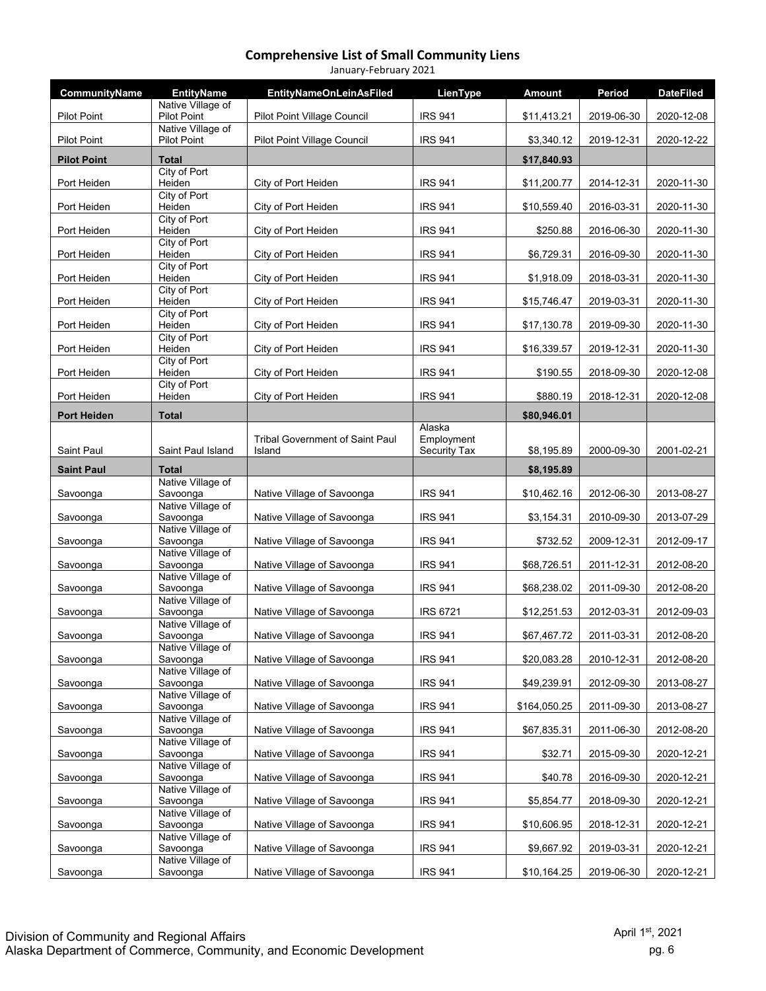| January-February 2021 |                                         |                                                  |                                      |               |            |                  |  |  |
|-----------------------|-----------------------------------------|--------------------------------------------------|--------------------------------------|---------------|------------|------------------|--|--|
| CommunityName         | <b>EntityName</b>                       | <b>EntityNameOnLeinAsFiled</b>                   | LienType                             | <b>Amount</b> | Period     | <b>DateFiled</b> |  |  |
| <b>Pilot Point</b>    | Native Village of<br><b>Pilot Point</b> | Pilot Point Village Council                      | <b>IRS 941</b>                       | \$11,413.21   | 2019-06-30 | 2020-12-08       |  |  |
| <b>Pilot Point</b>    | Native Village of<br>Pilot Point        | Pilot Point Village Council                      | <b>IRS 941</b>                       | \$3,340.12    | 2019-12-31 | 2020-12-22       |  |  |
| <b>Pilot Point</b>    | <b>Total</b>                            |                                                  |                                      | \$17,840.93   |            |                  |  |  |
| Port Heiden           | City of Port<br>Heiden                  | City of Port Heiden                              | <b>IRS 941</b>                       | \$11,200.77   | 2014-12-31 | 2020-11-30       |  |  |
| Port Heiden           | City of Port<br>Heiden                  | City of Port Heiden                              | <b>IRS 941</b>                       | \$10,559.40   | 2016-03-31 | 2020-11-30       |  |  |
| Port Heiden           | City of Port<br>Heiden                  | City of Port Heiden                              | <b>IRS 941</b>                       | \$250.88      | 2016-06-30 | 2020-11-30       |  |  |
| Port Heiden           | City of Port<br>Heiden                  | City of Port Heiden                              | <b>IRS 941</b>                       | \$6,729.31    | 2016-09-30 | 2020-11-30       |  |  |
| Port Heiden           | City of Port<br>Heiden                  | City of Port Heiden                              | <b>IRS 941</b>                       | \$1,918.09    | 2018-03-31 | 2020-11-30       |  |  |
| Port Heiden           | City of Port<br>Heiden                  | City of Port Heiden                              | <b>IRS 941</b>                       | \$15,746.47   | 2019-03-31 | 2020-11-30       |  |  |
| Port Heiden           | City of Port<br>Heiden                  | City of Port Heiden                              | <b>IRS 941</b>                       | \$17,130.78   | 2019-09-30 | 2020-11-30       |  |  |
| Port Heiden           | City of Port<br>Heiden                  | City of Port Heiden                              | <b>IRS 941</b>                       | \$16,339.57   | 2019-12-31 | 2020-11-30       |  |  |
| Port Heiden           | City of Port<br>Heiden                  | City of Port Heiden                              | <b>IRS 941</b>                       | \$190.55      | 2018-09-30 | 2020-12-08       |  |  |
| Port Heiden           | City of Port<br>Heiden                  | City of Port Heiden                              | <b>IRS 941</b>                       | \$880.19      | 2018-12-31 | 2020-12-08       |  |  |
| <b>Port Heiden</b>    | <b>Total</b>                            |                                                  |                                      | \$80,946.01   |            |                  |  |  |
| Saint Paul            | Saint Paul Island                       | <b>Tribal Government of Saint Paul</b><br>Island | Alaska<br>Employment<br>Security Tax | \$8,195.89    | 2000-09-30 | 2001-02-21       |  |  |
| <b>Saint Paul</b>     | <b>Total</b>                            |                                                  |                                      | \$8,195.89    |            |                  |  |  |
| Savoonga              | Native Village of<br>Savoonga           | Native Village of Savoonga                       | <b>IRS 941</b>                       | \$10,462.16   | 2012-06-30 | 2013-08-27       |  |  |
| Savoonga              | Native Village of<br>Savoonga           | Native Village of Savoonga                       | <b>IRS 941</b>                       | \$3,154.31    | 2010-09-30 | 2013-07-29       |  |  |
| Savoonga              | Native Village of<br>Savoonga           | Native Village of Savoonga                       | <b>IRS 941</b>                       | \$732.52      | 2009-12-31 | 2012-09-17       |  |  |
| Savoonga              | Native Village of<br>Savoonga           | Native Village of Savoonga                       | <b>IRS 941</b>                       | \$68,726.51   | 2011-12-31 | 2012-08-20       |  |  |
| Savoonga              | Native Village of<br>Savoonga           | Native Village of Savoonga                       | <b>IRS 941</b>                       | \$68,238.02   | 2011-09-30 | 2012-08-20       |  |  |
| Savoonga              | Native Village of<br>Savoonga           | Native Village of Savoonga                       | <b>IRS 6721</b>                      | \$12,251.53   | 2012-03-31 | 2012-09-03       |  |  |
| Savoonga              | Native Village of<br>Savoonga           | Native Village of Savoonga                       | <b>IRS 941</b>                       | \$67,467.72   | 2011-03-31 | 2012-08-20       |  |  |
| Savoonga              | Native Village of<br>Savoonga           | Native Village of Savoonga                       | <b>IRS 941</b>                       | \$20,083.28   | 2010-12-31 | 2012-08-20       |  |  |
| Savoonga              | Native Village of<br>Savoonga           | Native Village of Savoonga                       | <b>IRS 941</b>                       | \$49,239.91   | 2012-09-30 | 2013-08-27       |  |  |
| Savoonga              | Native Village of<br>Savoonga           | Native Village of Savoonga                       | <b>IRS 941</b>                       | \$164,050.25  | 2011-09-30 | 2013-08-27       |  |  |
| Savoonga              | Native Village of<br>Savoonga           | Native Village of Savoonga                       | <b>IRS 941</b>                       | \$67,835.31   | 2011-06-30 | 2012-08-20       |  |  |
| Savoonga              | Native Village of<br>Savoonga           | Native Village of Savoonga                       | <b>IRS 941</b>                       | \$32.71       | 2015-09-30 | 2020-12-21       |  |  |
| Savoonga              | Native Village of<br>Savoonga           | Native Village of Savoonga                       | <b>IRS 941</b>                       | \$40.78       | 2016-09-30 | 2020-12-21       |  |  |
| Savoonga              | Native Village of<br>Savoonga           | Native Village of Savoonga                       | <b>IRS 941</b>                       | \$5,854.77    | 2018-09-30 | 2020-12-21       |  |  |
| Savoonga              | Native Village of<br>Savoonga           | Native Village of Savoonga                       | <b>IRS 941</b>                       | \$10,606.95   | 2018-12-31 | 2020-12-21       |  |  |
| Savoonga              | Native Village of<br>Savoonga           | Native Village of Savoonga                       | <b>IRS 941</b>                       | \$9,667.92    | 2019-03-31 | 2020-12-21       |  |  |
| Savoonga              | Native Village of<br>Savoonga           | Native Village of Savoonga                       | <b>IRS 941</b>                       | \$10,164.25   | 2019-06-30 | 2020-12-21       |  |  |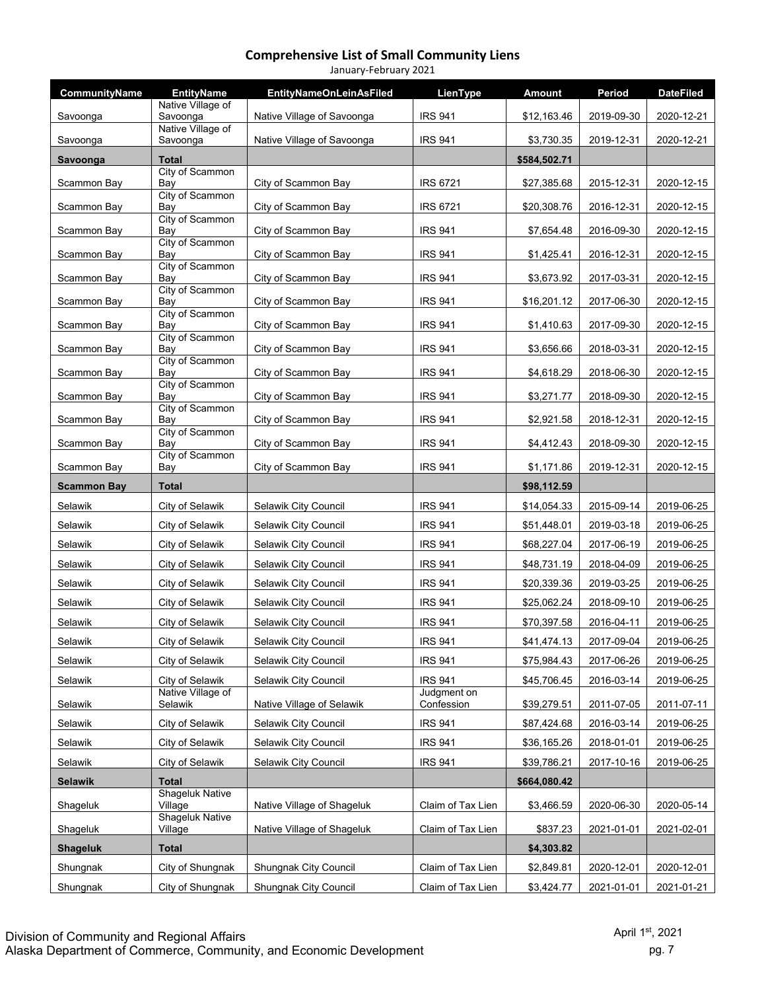| January-February 2021 |                                        |                                              |                                  |                            |                          |                          |  |  |
|-----------------------|----------------------------------------|----------------------------------------------|----------------------------------|----------------------------|--------------------------|--------------------------|--|--|
| CommunityName         | <b>EntityName</b><br>Native Village of | <b>EntityNameOnLeinAsFiled</b>               | LienType                         | <b>Amount</b>              | Period                   | <b>DateFiled</b>         |  |  |
| Savoonga              | Savoonga                               | Native Village of Savoonga                   | <b>IRS 941</b>                   | \$12,163.46                | 2019-09-30               | 2020-12-21               |  |  |
| Savoonga              | Native Village of<br>Savoonga          | Native Village of Savoonga                   | <b>IRS 941</b>                   | \$3,730.35                 | 2019-12-31               | 2020-12-21               |  |  |
| Savoonga              | <b>Total</b>                           |                                              |                                  | \$584,502.71               |                          |                          |  |  |
| Scammon Bay           | City of Scammon<br>Bav                 | City of Scammon Bay                          | <b>IRS 6721</b>                  | \$27,385.68                | 2015-12-31               | 2020-12-15               |  |  |
| Scammon Bay           | City of Scammon<br>Bay                 | City of Scammon Bay                          | <b>IRS 6721</b>                  | \$20,308.76                | 2016-12-31               | 2020-12-15               |  |  |
| Scammon Bay           | City of Scammon<br>Bay                 | City of Scammon Bay                          | <b>IRS 941</b>                   | \$7,654.48                 | 2016-09-30               | 2020-12-15               |  |  |
| Scammon Bay           | City of Scammon<br>Bay                 | City of Scammon Bay                          | <b>IRS 941</b>                   | \$1,425.41                 | 2016-12-31               | 2020-12-15               |  |  |
|                       | City of Scammon                        |                                              |                                  |                            |                          |                          |  |  |
| Scammon Bay           | Bay<br>City of Scammon                 | City of Scammon Bay                          | <b>IRS 941</b>                   | \$3,673.92                 | 2017-03-31               | 2020-12-15               |  |  |
| Scammon Bay           | Bay<br>City of Scammon                 | City of Scammon Bay                          | <b>IRS 941</b>                   | \$16,201.12                | 2017-06-30               | 2020-12-15               |  |  |
| Scammon Bay           | Bay                                    | City of Scammon Bay                          | <b>IRS 941</b>                   | \$1,410.63                 | 2017-09-30               | 2020-12-15               |  |  |
| Scammon Bay           | City of Scammon<br>Bay                 | City of Scammon Bay                          | <b>IRS 941</b>                   | \$3,656.66                 | 2018-03-31               | 2020-12-15               |  |  |
| Scammon Bay           | City of Scammon<br>Bay                 | City of Scammon Bay                          | <b>IRS 941</b>                   | \$4,618.29                 | 2018-06-30               | 2020-12-15               |  |  |
| Scammon Bay           | City of Scammon<br>Bay                 | City of Scammon Bay                          | <b>IRS 941</b>                   | \$3,271.77                 | 2018-09-30               | 2020-12-15               |  |  |
| Scammon Bay           | City of Scammon<br>Bay                 | City of Scammon Bay                          | <b>IRS 941</b>                   | \$2,921.58                 | 2018-12-31               | 2020-12-15               |  |  |
| Scammon Bay           | City of Scammon<br>Bay                 | City of Scammon Bay                          | <b>IRS 941</b>                   | \$4,412.43                 | 2018-09-30               | 2020-12-15               |  |  |
| Scammon Bay           | City of Scammon<br>Bay                 | City of Scammon Bay                          | <b>IRS 941</b>                   | \$1,171.86                 | 2019-12-31               | 2020-12-15               |  |  |
|                       |                                        |                                              |                                  |                            |                          |                          |  |  |
|                       |                                        |                                              |                                  |                            |                          |                          |  |  |
| <b>Scammon Bay</b>    | <b>Total</b>                           |                                              |                                  | \$98,112.59                |                          |                          |  |  |
| Selawik<br>Selawik    | City of Selawik<br>City of Selawik     | Selawik City Council<br>Selawik City Council | <b>IRS 941</b><br><b>IRS 941</b> | \$14,054.33                | 2015-09-14               | 2019-06-25               |  |  |
| Selawik               | City of Selawik                        | Selawik City Council                         | <b>IRS 941</b>                   | \$51,448.01<br>\$68,227.04 | 2019-03-18<br>2017-06-19 | 2019-06-25<br>2019-06-25 |  |  |
| Selawik               | City of Selawik                        | Selawik City Council                         | <b>IRS 941</b>                   | \$48,731.19                | 2018-04-09               | 2019-06-25               |  |  |
| Selawik               | City of Selawik                        | Selawik City Council                         | <b>IRS 941</b>                   | \$20,339.36                | 2019-03-25               | 2019-06-25               |  |  |
| Selawik               | City of Selawik                        | Selawik City Council                         | <b>IRS 941</b>                   | \$25,062.24                | 2018-09-10               | 2019-06-25               |  |  |
| Selawik               | City of Selawik                        | Selawik City Council                         | <b>IRS 941</b>                   | \$70,397.58                | 2016-04-11               | 2019-06-25               |  |  |
| Selawik               | City of Selawik                        | Selawik City Council                         | <b>IRS 941</b>                   | \$41,474.13                | 2017-09-04               | 2019-06-25               |  |  |
| Selawik               | City of Selawik                        | Selawik City Council                         | <b>IRS 941</b>                   | \$75,984.43                | 2017-06-26               | 2019-06-25               |  |  |
| Selawik               | City of Selawik                        | Selawik City Council                         | <b>IRS 941</b>                   | \$45,706.45                | 2016-03-14               | 2019-06-25               |  |  |
| Selawik               | Native Village of<br>Selawik           | Native Village of Selawik                    | Judgment on<br>Confession        | \$39,279.51                | 2011-07-05               | 2011-07-11               |  |  |
| Selawik               | City of Selawik                        | Selawik City Council                         | <b>IRS 941</b>                   | \$87,424.68                | 2016-03-14               | 2019-06-25               |  |  |
| Selawik               | City of Selawik                        | Selawik City Council                         | <b>IRS 941</b>                   | \$36,165.26                | 2018-01-01               | 2019-06-25               |  |  |
| Selawik               | City of Selawik                        | Selawik City Council                         | <b>IRS 941</b>                   | \$39,786.21                | 2017-10-16               | 2019-06-25               |  |  |
| <b>Selawik</b>        | <b>Total</b>                           |                                              |                                  | \$664,080.42               |                          |                          |  |  |
| Shageluk              | <b>Shageluk Native</b><br>Village      | Native Village of Shageluk                   | Claim of Tax Lien                | \$3,466.59                 | 2020-06-30               | 2020-05-14               |  |  |
| Shageluk              | <b>Shageluk Native</b><br>Village      | Native Village of Shageluk                   | Claim of Tax Lien                | \$837.23                   | 2021-01-01               | 2021-02-01               |  |  |
| <b>Shageluk</b>       | <b>Total</b>                           |                                              |                                  | \$4,303.82                 |                          |                          |  |  |
| Shungnak              | City of Shungnak                       | Shungnak City Council                        | Claim of Tax Lien                | \$2,849.81                 | 2020-12-01               | 2020-12-01               |  |  |